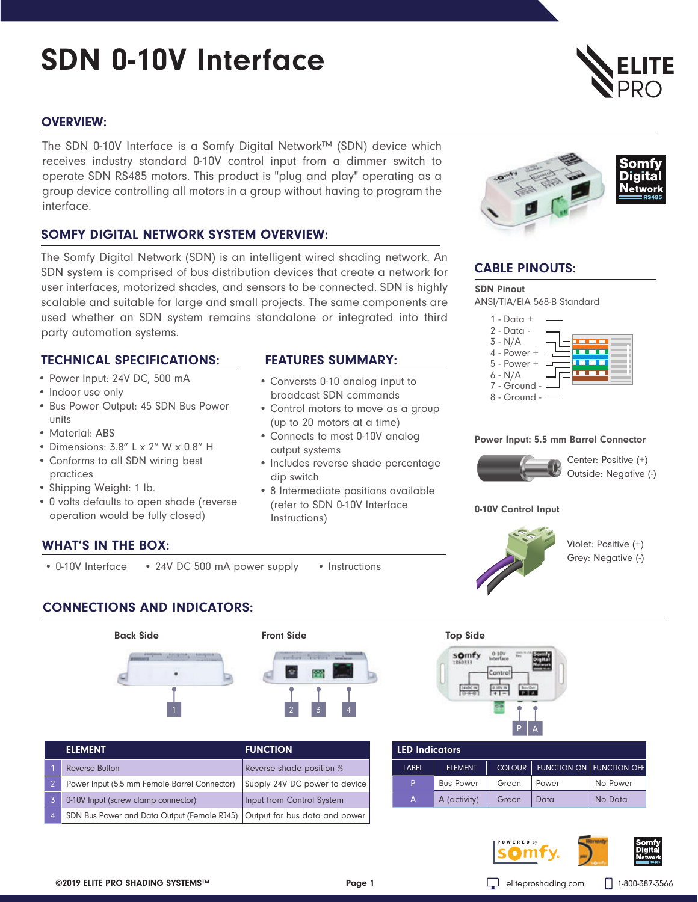# SDN 0-10V Interface

# OVERVIEW:

The SDN 0-10V Interface is a Somfy Digital Network™ (SDN) device which receives industry standard 0-10V control input from a dimmer switch to operate SDN RS485 motors. This product is "plug and play" operating as a group device controlling all motors in a group without having to program the interface.

# SOMFY DIGITAL NETWORK SYSTEM OVERVIEW:

The Somfy Digital Network (SDN) is an intelligent wired shading network. An SDN system is comprised of bus distribution devices that create a network for user interfaces, motorized shades, and sensors to be connected. SDN is highly scalable and suitable for large and small projects. The same components are used whether an SDN system remains standalone or integrated into third party automation systems.

# TECHNICAL SPECIFICATIONS: FEATURES SUMMARY:

- Power Input: 24V DC, 500 mA
- Indoor use only
- Bus Power Output: 45 SDN Bus Power units
- Material: ABS
- Dimensions: 3.8" L x 2" W x 0.8" H
- Conforms to all SDN wiring best practices
- Shipping Weight: 1 lb.
- 0 volts defaults to open shade (reverse operation would be fully closed)

- Conversts 0-10 analog input to broadcast SDN commands
- Control motors to move as a group (up to 20 motors at a time)
- Connects to most 0-10V analog output systems
- Includes reverse shade percentage dip switch
- 8 Intermediate positions available (refer to SDN 0-10V Interface Instructions)



# CABLE PINOUTS:

ANSI/TIA/EIA 568-B Standard SDN Pinout



### Power Input: 5.5 mm Barrel Connector



Center: Positive (+) Outside: Negative (-)

### 0-10V Control Input



Violet: Positive (+) Grey: Negative (-)

# WHAT'S IN THE BOX:

• 0-10V Interface • 24V DC 500 mA power supply • Instructions

CONNECTIONS AND INDICATORS:



| <b>ELEMENT</b> |                                                                             | <b>FUNCTION</b>               |  |
|----------------|-----------------------------------------------------------------------------|-------------------------------|--|
|                | <b>Reverse Button</b>                                                       | Reverse shade position %      |  |
|                | Power Input (5.5 mm Female Barrel Connector)                                | Supply 24V DC power to device |  |
|                | 0-10V Input (screw clamp connector)                                         | Input from Control System     |  |
| $\overline{4}$ | SDN Bus Power and Data Output (Female RJ45)   Output for bus data and power |                               |  |



# LED Indicators

| LABEL | <b>ELEMENT</b>   |       | COLOUR   FUNCTION ON   FUNCTION OFF |          |
|-------|------------------|-------|-------------------------------------|----------|
| P.    | <b>Bus Power</b> | Green | <b>Power</b>                        | No Power |
|       | A (activity)     | Green | Data                                | No Data  |